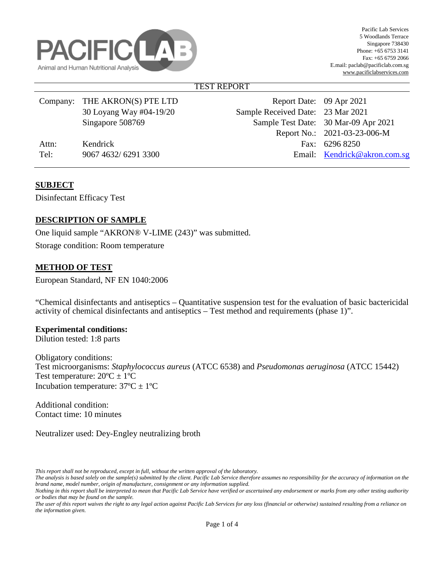

## TEST REPORT

|       | Company: THE AKRON(S) PTE LTD | Report Date: 09 Apr 2021          |                                      |
|-------|-------------------------------|-----------------------------------|--------------------------------------|
|       | 30 Loyang Way #04-19/20       | Sample Received Date: 23 Mar 2021 |                                      |
|       | Singapore 508769              |                                   | Sample Test Date: 30 Mar-09 Apr 2021 |
|       |                               |                                   | Report No.: 2021-03-23-006-M         |
| Attn: | Kendrick                      |                                   | Fax: 6296 8250                       |
| Tel:  | 9067 4632/6291 3300           |                                   | Email: Kendrick@akron.com.sg         |
|       |                               |                                   |                                      |

## **SUBJECT**

Disinfectant Efficacy Test

# **DESCRIPTION OF SAMPLE**

One liquid sample "AKRON® V-LIME (243)" was submitted. Storage condition: Room temperature

### **METHOD OF TEST**

European Standard, NF EN 1040:2006

"Chemical disinfectants and antiseptics – Quantitative suspension test for the evaluation of basic bactericidal activity of chemical disinfectants and antiseptics – Test method and requirements (phase 1)".

#### **Experimental conditions:**

Dilution tested: 1:8 parts

Obligatory conditions: Test microorganisms: *Staphylococcus aureus* (ATCC 6538) and *Pseudomonas aeruginosa* (ATCC 15442) Test temperature:  $20^{\circ}C \pm 1^{\circ}C$ Incubation temperature:  $37^{\circ}C \pm 1^{\circ}C$ 

Additional condition: Contact time: 10 minutes

Neutralizer used: Dey-Engley neutralizing broth

*This report shall not be reproduced, except in full, without the written approval of the laboratory.* 

*The analysis is based solely on the sample(s) submitted by the client. Pacific Lab Service therefore assumes no responsibility for the accuracy of information on the brand name, model number, origin of manufacture, consignment or any information supplied.*

*Nothing in this report shall be interpreted to mean that Pacific Lab Service have verified or ascertained any endorsement or marks from any other testing authority or bodies that may be found on the sample.* 

*The user of this report waives the right to any legal action against Pacific Lab Services for any loss (financial or otherwise) sustained resulting from a reliance on the information given.*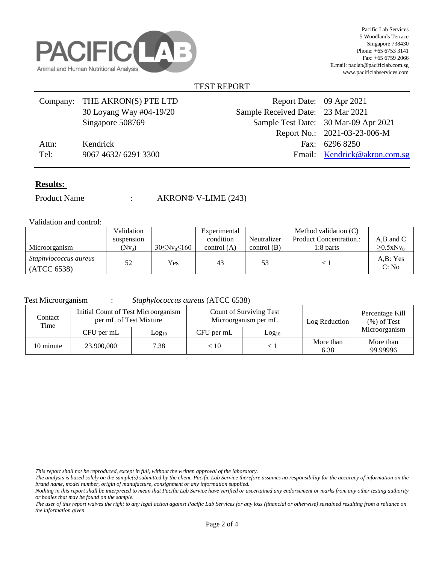

#### TEST REPORT

|       | Company: THE AKRON(S) PTE LTD | Report Date: 09 Apr 2021          |                                      |
|-------|-------------------------------|-----------------------------------|--------------------------------------|
|       | 30 Loyang Way #04-19/20       | Sample Received Date: 23 Mar 2021 |                                      |
|       | Singapore 508769              |                                   | Sample Test Date: 30 Mar-09 Apr 2021 |
|       |                               |                                   | Report No.: 2021-03-23-006-M         |
| Attn: | Kendrick                      |                                   | Fax: 6296 8250                       |
| Tel:  | 9067 4632/6291 3300           |                                   | Email: Kendrick@akron.com.sg         |
|       |                               |                                   |                                      |

#### **Results:**

Product Name : AKRON® V-LIME (243)

Validation and control:

|                                             | Validation |                         | Experimental  |               | Method validation (C)          |                             |
|---------------------------------------------|------------|-------------------------|---------------|---------------|--------------------------------|-----------------------------|
|                                             | suspension |                         | condition     | Neutralizer   | <b>Product Concentration.:</b> | $A,B$ and $C$               |
| Microorganism                               | $(Nv_0)$   | $30 \leq Nv_0 \leq 160$ | control $(A)$ | control $(B)$ | 1:8 parts                      | $\geq 0.5$ xNv <sub>0</sub> |
| <i>Staphylococcus aureus</i><br>(ATCC 6538) | 52         | Yes                     | 43            | 53            |                                | A.B: Yes<br>C: No           |

Test Microorganism : *Staphylococcus aureus* (ATCC 6538)

| Contact<br>Time | Initial Count of Test Microorganism<br>per mL of Test Mixture |                   |            | Count of Surviving Test<br>Microorganism per mL | Log Reduction     | Percentage Kill<br>$(\%)$ of Test |
|-----------------|---------------------------------------------------------------|-------------------|------------|-------------------------------------------------|-------------------|-----------------------------------|
|                 | CFU per mL                                                    | Log <sub>10</sub> | CFU per mL | Log <sub>10</sub>                               |                   | Microorganism                     |
| 10 minute       | 23,900,000                                                    | 7.38              | < 10       |                                                 | More than<br>6.38 | More than<br>99.99996             |

*This report shall not be reproduced, except in full, without the written approval of the laboratory.* 

*The analysis is based solely on the sample(s) submitted by the client. Pacific Lab Service therefore assumes no responsibility for the accuracy of information on the brand name, model number, origin of manufacture, consignment or any information supplied.*

*Nothing in this report shall be interpreted to mean that Pacific Lab Service have verified or ascertained any endorsement or marks from any other testing authority or bodies that may be found on the sample.* 

*The user of this report waives the right to any legal action against Pacific Lab Services for any loss (financial or otherwise) sustained resulting from a reliance on the information given.*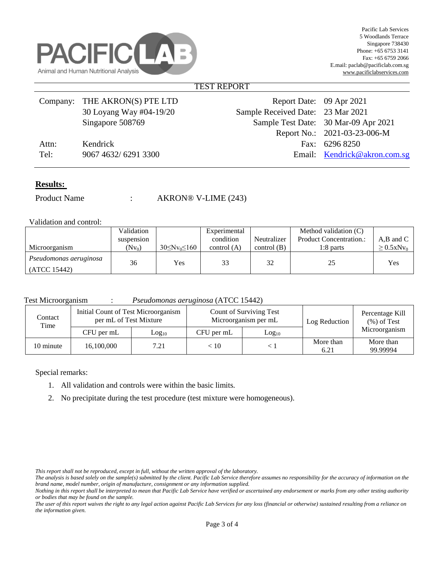

#### TEST REPORT

|       | Company: THE AKRON(S) PTE LTD | Report Date: 09 Apr 2021          |                                      |
|-------|-------------------------------|-----------------------------------|--------------------------------------|
|       | 30 Loyang Way #04-19/20       | Sample Received Date: 23 Mar 2021 |                                      |
|       | Singapore 508769              |                                   | Sample Test Date: 30 Mar-09 Apr 2021 |
|       |                               |                                   | Report No.: 2021-03-23-006-M         |
| Attn: | Kendrick                      |                                   | Fax: 6296 8250                       |
| Tel:  | 9067 4632/6291 3300           |                                   | Email: Kendrick@akron.com.sg         |
|       |                               |                                   |                                      |

#### **Results:**

Product Name : AKRON® V-LIME (243)

Validation and control:

|                        | Validation |                       | Experimental  |               | Method validation (C)          |                             |
|------------------------|------------|-----------------------|---------------|---------------|--------------------------------|-----------------------------|
|                        | suspension |                       | condition     | Neutralizer   | <b>Product Concentration.:</b> | $A,B$ and $C$               |
| Microorganism          | $(Nv_0)$   | $30 \le Nv_0 \le 160$ | control $(A)$ | control $(B)$ | 1:8 parts                      | $\geq 0.5$ xNv <sub>0</sub> |
| Pseudomonas aeruginosa | 36         | <b>Yes</b>            | 33            | 32            |                                | Yes                         |
| (ATCC 15442)           |            |                       |               |               |                                |                             |

Test Microorganism : *Pseudomonas aeruginosa* (ATCC 15442)

| Contact<br>Time | Initial Count of Test Microorganism<br>per mL of Test Mixture |                   |            | Count of Surviving Test<br>Microorganism per mL | Log Reduction     | Percentage Kill<br>$(\%)$ of Test |
|-----------------|---------------------------------------------------------------|-------------------|------------|-------------------------------------------------|-------------------|-----------------------------------|
|                 | CFU per mL                                                    | Log <sub>10</sub> | CFU per mL | Log <sub>10</sub>                               |                   | Microorganism                     |
| 10 minute       | 16,100,000                                                    | 7.21              | < 10       |                                                 | More than<br>6.21 | More than<br>99.99994             |

Special remarks:

- 1. All validation and controls were within the basic limits.
- 2. No precipitate during the test procedure (test mixture were homogeneous).

*This report shall not be reproduced, except in full, without the written approval of the laboratory.* 

*The analysis is based solely on the sample(s) submitted by the client. Pacific Lab Service therefore assumes no responsibility for the accuracy of information on the brand name, model number, origin of manufacture, consignment or any information supplied.*

*Nothing in this report shall be interpreted to mean that Pacific Lab Service have verified or ascertained any endorsement or marks from any other testing authority or bodies that may be found on the sample.* 

*The user of this report waives the right to any legal action against Pacific Lab Services for any loss (financial or otherwise) sustained resulting from a reliance on the information given.*